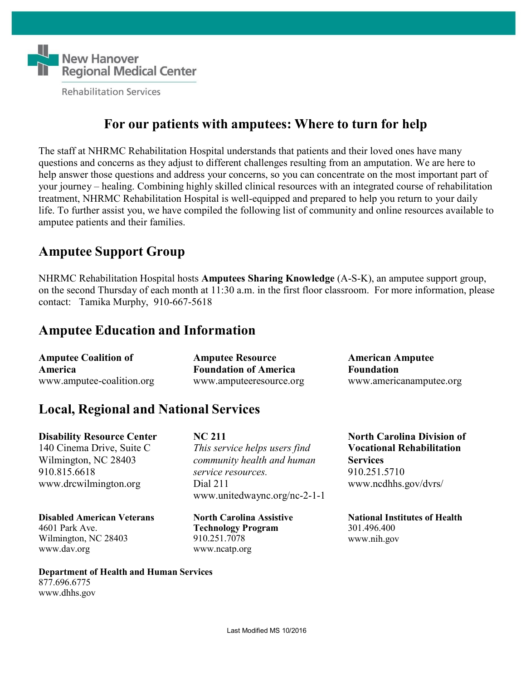

## **For our patients with amputees: Where to turn for help**

The staff at NHRMC Rehabilitation Hospital understands that patients and their loved ones have many questions and concerns as they adjust to different challenges resulting from an amputation. We are here to help answer those questions and address your concerns, so you can concentrate on the most important part of your journey – healing. Combining highly skilled clinical resources with an integrated course of rehabilitation treatment, NHRMC Rehabilitation Hospital is well-equipped and prepared to help you return to your daily life. To further assist you, we have compiled the following list of community and online resources available to amputee patients and their families.

# **Amputee Support Group**

NHRMC Rehabilitation Hospital hosts **Amputees Sharing Knowledge** (A-S-K), an amputee support group, on the second Thursday of each month at 11:30 a.m. in the first floor classroom. For more information, please contact: Tamika Murphy, 910-667-5618

# **Amputee Education and Information**

| <b>Amputee Coalition of</b> | <b>Amputee Resource</b>      | <b>American Amputee</b> |
|-----------------------------|------------------------------|-------------------------|
| <b>America</b>              | <b>Foundation of America</b> | <b>Foundation</b>       |
| www.amputee-coalition.org   | www.amputeeresource.org      | www.americanamputee.org |

# **Local, Regional and National Services**

**Disability Resource Center** 140 Cinema Drive, Suite C

**NC 211** *This service helps users find* Wilmington, NC 28403 *community health and human* **Services** 910.815.6618 *service resources.* 910.251.5710 [www.drcwilmington.org](http://www.drcwilmington.org/) Dial 211 [www.ncdhhs.gov/dvrs/](http://www.ncdhhs.gov/dvrs/) [www.unitedwaync.org/nc-2-1-1](http://www.unitedwaync.org/nc-2-1-1)

### **Disabled American Veterans**

4601 Park Ave. Wilmington, NC 2840[3](http://www.dav.org/) [www.dav.org](http://www.dav.org/)

**North Carolina Assistive Technology Program** 910.251.707[8](http://www.ncatp.org/) [www.ncatp.org](http://www.ncatp.org/)

**North Carolina Division of Vocational Rehabilitation**

**National Institutes of Health** 301.496.400 [www.nih.gov](http://www.nih.gov/)

**Department of Health and Human Services** 877.696.6775 [www.dhhs.gov](http://www.dhhs.gov/)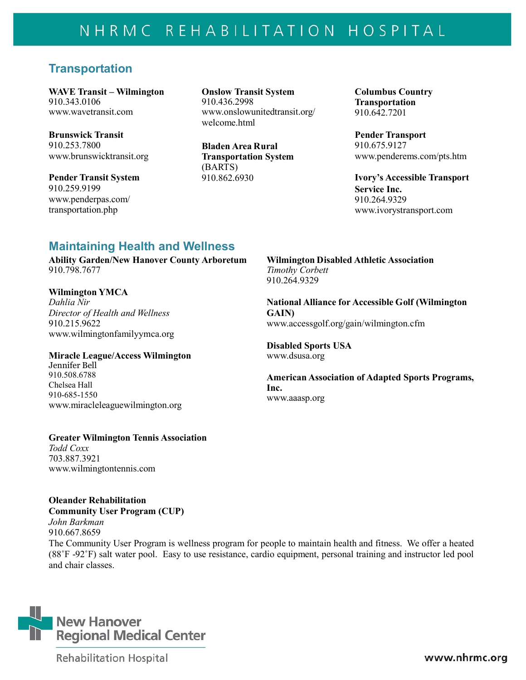# NHRMC REHABILITATION HOSPITAL

### **Transportation**

910.343.0106 [www.wavetransit.com](http://www.wavetransit.com/)

**Brunswick Transit** 910.253.7800 **Bladen Area Rural** [www.brunswicktransit.org](http://www.brunswicktransit.org/)

**Pender Transit System** 910.259.9199 [www.penderpas.com/](http://www.penderpas.com/%20transportation.php) [transportation.php](http://www.penderpas.com/%20transportation.php)

**WAVE Transit – Wilmington Onslow Transit System Columbus Country** 910.436.2998 [www.onslowunitedtransit.org/](http://www.onslowunitedtransit.org/welcome.html) [welcome.html](http://www.onslowunitedtransit.org/welcome.html)

> **Transportation System** (BARTS) 910.862.6930

**Transportation** 910.642.7201

**Pender Transport** 910.675.9127 [www.penderems.com/pts.htm](http://www.penderems.com/pts.htm)

**Ivory's Accessible Transport Service Inc.** 910.264.932[9](http://www.ivorystransport.com/) [www.ivorystransport.com](http://www.ivorystransport.com/)

### **Maintaining Health and Wellness**

**Ability Garden/New Hanover County Arboretum** 910.798.7677

### **Wilmington YMCA**

*Dahlia Nir Director of Health and Wellness* 910.215.962[2](http://www.wilmingtonfamilyymca.org/) [www.wilmingtonfamilyymca.org](http://www.wilmingtonfamilyymca.org/)

#### **Miracle League/Access Wilmington**

Jennifer Bell 910.508.6788 Chelsea Hall 910-685-1550 [www.miracleleaguewilmington.org](http://www.miracleleaguewilmington.org/)

#### **Greater Wilmington Tennis Association**

*Todd Coxx* 703.887.392[1](http://www.wilmingtontennis.com/) [www.wilmingtontennis.com](http://www.wilmingtontennis.com/)

### **Oleander Rehabilitation Community User Program (CUP)**

*John Barkman* 910.667.8659

The Community User Program is wellness program for people to maintain health and fitness. We offer a heated (88˚F -92˚F) salt water pool. Easy to use resistance, cardio equipment, personal training and instructor led pool and chair classes.



**Rehabilitation Hospital** 

**Wilmington Disabled Athletic Association** *Timothy Corbett* 910.264.9329

**National Alliance for Accessible Golf (Wilmington GAIN)** [www.accessgolf.org/gain/wilmington.cfm](http://www.accessgolf.org/gain/wilmington.cfm)

**Disabled Sports USA** [www.dsusa.org](http://www.dsusa.org/)

**American Association of Adapted Sports Programs, Inc.** [www.aaasp.org](http://www.aaasp.org/)